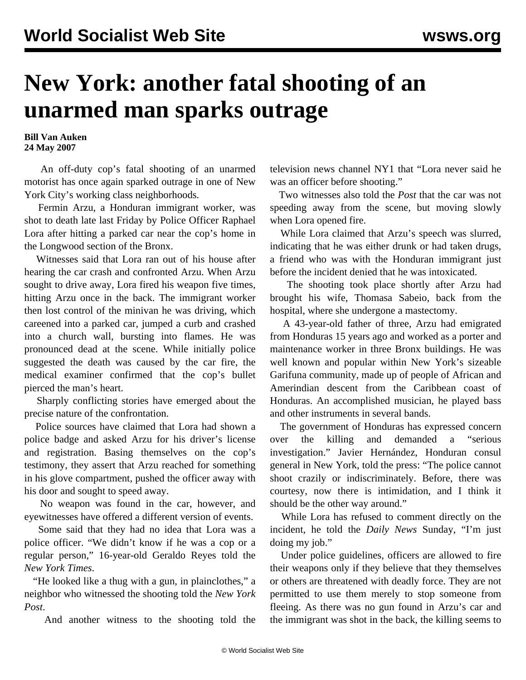## **New York: another fatal shooting of an unarmed man sparks outrage**

**Bill Van Auken 24 May 2007**

 An off-duty cop's fatal shooting of an unarmed motorist has once again sparked outrage in one of New York City's working class neighborhoods.

 Fermin Arzu, a Honduran immigrant worker, was shot to death late last Friday by Police Officer Raphael Lora after hitting a parked car near the cop's home in the Longwood section of the Bronx.

 Witnesses said that Lora ran out of his house after hearing the car crash and confronted Arzu. When Arzu sought to drive away, Lora fired his weapon five times, hitting Arzu once in the back. The immigrant worker then lost control of the minivan he was driving, which careened into a parked car, jumped a curb and crashed into a church wall, bursting into flames. He was pronounced dead at the scene. While initially police suggested the death was caused by the car fire, the medical examiner confirmed that the cop's bullet pierced the man's heart.

 Sharply conflicting stories have emerged about the precise nature of the confrontation.

 Police sources have claimed that Lora had shown a police badge and asked Arzu for his driver's license and registration. Basing themselves on the cop's testimony, they assert that Arzu reached for something in his glove compartment, pushed the officer away with his door and sought to speed away.

 No weapon was found in the car, however, and eyewitnesses have offered a different version of events.

 Some said that they had no idea that Lora was a police officer. "We didn't know if he was a cop or a regular person," 16-year-old Geraldo Reyes told the *New York Times*.

 "He looked like a thug with a gun, in plainclothes," a neighbor who witnessed the shooting told the *New York Post*.

And another witness to the shooting told the

television news channel NY1 that "Lora never said he was an officer before shooting."

 Two witnesses also told the *Post* that the car was not speeding away from the scene, but moving slowly when Lora opened fire.

 While Lora claimed that Arzu's speech was slurred, indicating that he was either drunk or had taken drugs, a friend who was with the Honduran immigrant just before the incident denied that he was intoxicated.

 The shooting took place shortly after Arzu had brought his wife, Thomasa Sabeio, back from the hospital, where she undergone a mastectomy.

 A 43-year-old father of three, Arzu had emigrated from Honduras 15 years ago and worked as a porter and maintenance worker in three Bronx buildings. He was well known and popular within New York's sizeable Garifuna community, made up of people of African and Amerindian descent from the Caribbean coast of Honduras. An accomplished musician, he played bass and other instruments in several bands.

 The government of Honduras has expressed concern over the killing and demanded a "serious investigation." Javier Hernández, Honduran consul general in New York, told the press: "The police cannot shoot crazily or indiscriminately. Before, there was courtesy, now there is intimidation, and I think it should be the other way around."

 While Lora has refused to comment directly on the incident, he told the *Daily News* Sunday, "I'm just doing my job."

 Under police guidelines, officers are allowed to fire their weapons only if they believe that they themselves or others are threatened with deadly force. They are not permitted to use them merely to stop someone from fleeing. As there was no gun found in Arzu's car and the immigrant was shot in the back, the killing seems to